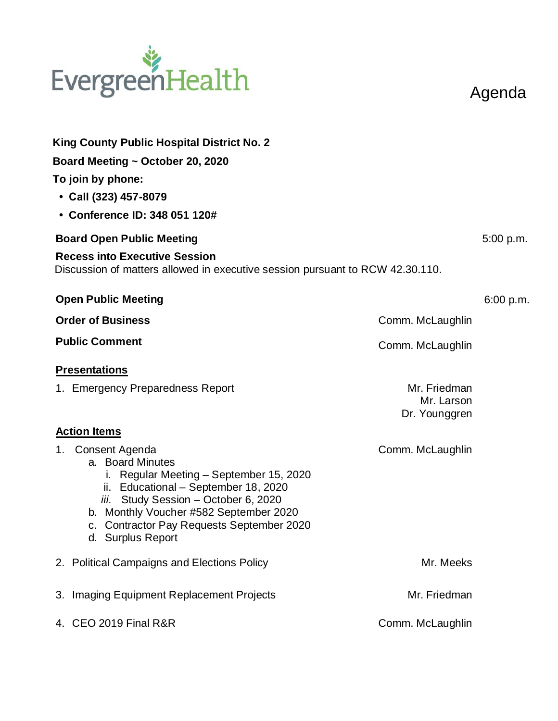## EvergreenHealth

Agenda

| King County Public Hospital District No. 2                                                                                                                                                                                                                                                   |                             |           |
|----------------------------------------------------------------------------------------------------------------------------------------------------------------------------------------------------------------------------------------------------------------------------------------------|-----------------------------|-----------|
| Board Meeting ~ October 20, 2020                                                                                                                                                                                                                                                             |                             |           |
| To join by phone:                                                                                                                                                                                                                                                                            |                             |           |
| • Call (323) 457-8079                                                                                                                                                                                                                                                                        |                             |           |
| • Conference ID: 348 051 120#                                                                                                                                                                                                                                                                |                             |           |
| <b>Board Open Public Meeting</b>                                                                                                                                                                                                                                                             |                             |           |
| <b>Recess into Executive Session</b><br>Discussion of matters allowed in executive session pursuant to RCW 42.30.110.                                                                                                                                                                        |                             |           |
| <b>Open Public Meeting</b>                                                                                                                                                                                                                                                                   |                             | 6:00 p.m. |
| <b>Order of Business</b>                                                                                                                                                                                                                                                                     | Comm. McLaughlin            |           |
| <b>Public Comment</b>                                                                                                                                                                                                                                                                        | Comm. McLaughlin            |           |
| <b>Presentations</b>                                                                                                                                                                                                                                                                         |                             |           |
| 1. Emergency Preparedness Report                                                                                                                                                                                                                                                             | Mr. Friedman                |           |
|                                                                                                                                                                                                                                                                                              | Mr. Larson<br>Dr. Younggren |           |
| <b>Action Items</b>                                                                                                                                                                                                                                                                          |                             |           |
| Consent Agenda<br>1.<br>a. Board Minutes<br>Regular Meeting - September 15, 2020<br>Ĺ.<br>ii. Educational - September 18, 2020<br>iii. Study Session - October 6, 2020<br>b. Monthly Voucher #582 September 2020<br><b>Contractor Pay Requests September 2020</b><br>c.<br>d. Surplus Report | Comm. McLaughlin            |           |
| 2. Political Campaigns and Elections Policy                                                                                                                                                                                                                                                  | Mr. Meeks                   |           |
| 3. Imaging Equipment Replacement Projects                                                                                                                                                                                                                                                    | Mr. Friedman                |           |
| 4. CEO 2019 Final R&R                                                                                                                                                                                                                                                                        | Comm. McLaughlin            |           |